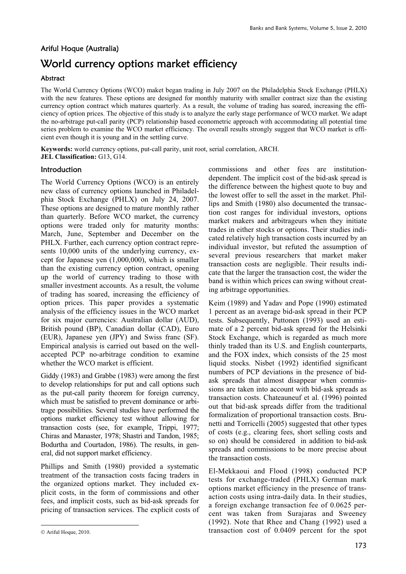# Ariful Hoque (Australia) World currency options market efficiency

# **Abstract**

The World Currency Options (WCO) maket began trading in July 2007 on the Philadelphia Stock Exchange (PHLX) with the new features. These options are designed for monthly maturity with smaller contract size than the existing currency option contract which matures quarterly. As a result, the volume of trading has soared, increasing the efficiency of option prices. The objective of this study is to analyze the early stage performance of WCO market. We adapt the no-arbitrage put-call parity (PCP) relationship based econometric approach with accommodating all potential time series problem to examine the WCO market efficiency. The overall results strongly suggest that WCO market is efficient even though it is young and in the settling curve.

**Keywords:** world currency options, put-call parity, unit root, serial correlation, ARCH. **JEL Classification:** G13, G14.

### Introduction

The World Currency Options (WCO) is an entirely new class of currency options launched in Philadelphia Stock Exchange (PHLX) on July 24, 2007. These options are designed to mature monthly rather than quarterly. Before WCO market, the currency options were traded only for maturity months: March, June, September and December on the PHLX. Further, each currency option contract represents 10,000 units of the underlying currency, except for Japanese yen (1,000,000), which is smaller than the existing currency option contract, opening up the world of currency trading to those with smaller investment accounts. As a result, the volume of trading has soared, increasing the efficiency of option prices. This paper provides a systematic analysis of the efficiency issues in the WCO market for six major currencies: Australian dollar (AUD), British pound (BP), Canadian dollar (CAD), Euro (EUR), Japanese yen (JPY) and Swiss franc (SF). Empirical analysis is carried out based on the wellaccepted PCP no-arbitrage condition to examine whether the WCO market is efficient.

Giddy (1983) and Grabbe (1983) were among the first to develop relationships for put and call options such as the put-call parity theorem for foreign currency, which must be satisfied to prevent dominance or arbitrage possibilities. Several studies have performed the options market efficiency test without allowing for transaction costs (see, for example, Trippi, 1977; Chiras and Manaster, 1978; Shastri and Tandon, 1985; Bodurtha and Courtadon, 1986). The results, in general, did not support market efficiency.

Phillips and Smith (1980) provided a systematic treatment of the transaction costs facing traders in the organized options market. They included explicit costs, in the form of commissions and other fees, and implicit costs, such as bid-ask spreads for pricing of transaction services. The explicit costs of

-

commissions and other fees are institutiondependent. The implicit cost of the bid-ask spread is the difference between the highest quote to buy and the lowest offer to sell the asset in the market. Phillips and Smith (1980) also documented the transaction cost ranges for individual investors, options market makers and arbitrageurs when they initiate trades in either stocks or options. Their studies indicated relatively high transaction costs incurred by an individual investor, but refuted the assumption of several previous researchers that market maker transaction costs are negligible. Their results indicate that the larger the transaction cost, the wider the band is within which prices can swing without creating arbitrage opportunities.

Keim (1989) and Yadav and Pope (1990) estimated 1 percent as an average bid-ask spread in their PCP tests. Subsequently, Puttonen (1993) used an estimate of a 2 percent bid-ask spread for the Helsinki Stock Exchange, which is regarded as much more thinly traded than its U.S. and English counterparts, and the FOX index, which consists of the 25 most liquid stocks. Nisbet (1992) identified significant numbers of PCP deviations in the presence of bidask spreads that almost disappear when commissions are taken into account with bid-ask spreads as transaction costs. Chateauneuf et al. (1996) pointed out that bid-ask spreads differ from the traditional formalization of proportional transaction costs. Brunetti and Torricelli (2005) suggested that other types of costs (e.g., clearing fees, short selling costs and so on) should be considered in addition to bid-ask spreads and commissions to be more precise about the transaction costs.

El-Mekkaoui and Flood (1998) conducted PCP tests for exchange-traded (PHLX) German mark options market efficiency in the presence of transaction costs using intra-daily data. In their studies, a foreign exchange transaction fee of 0.0625 percent was taken from Surajaras and Sweeney (1992). Note that Rhee and Chang (1992) used a transaction cost of 0.0409 percent for the spot

Ariful Hoque, 2010.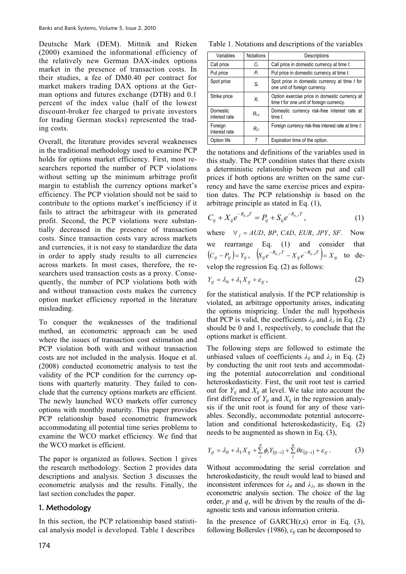Deutsche Mark (DEM). Mittnik and Rieken (2000) examined the informational efficiency of the relatively new German DAX-index options market in the presence of transaction costs. In their studies, a fee of DM0.40 per contract for market makers trading DAX options at the German options and futures exchange (DTB) and 0.1 percent of the index value (half of the lowest discount-broker fee charged to private investors for trading German stocks) represented the trading costs.

Overall, the literature provides several weaknesses in the traditional methodology used to examine PCP holds for options market efficiency. First, most researchers reported the number of PCP violations without setting up the minimum arbitrage profit margin to establish the currency options market's efficiency. The PCP violation should not be said to contribute to the options market's inefficiency if it fails to attract the arbitrageur with its generated profit. Second, the PCP violations were substantially decreased in the presence of transaction costs. Since transaction costs vary across markets and currencies, it is not easy to standardize the data in order to apply study results to all currencies across markets. In most cases, therefore, the researchers used transaction costs as a proxy. Consequently, the number of PCP violations both with and without transaction costs makes the currency option market efficiency reported in the literature misleading.

To conquer the weaknesses of the traditional method, an econometric approach can be used where the issues of transaction cost estimation and PCP violation both with and without transaction costs are not included in the analysis. Hoque et al. (2008) conducted econometric analysis to test the validity of the PCP condition for the currency options with quarterly maturity. They failed to conclude that the currency options markets are efficient. The newly launched WCO markets offer currency options with monthly maturity. This paper provides PCP relationship based econometric framework accommodating all potential time series problems to examine the WCO market efficiency. We find that the WCO market is efficient.

The paper is organized as follows. Section 1 gives the research methodology. Section 2 provides data descriptions and analysis. Section 3 discusses the econometric analysis and the results. Finally, the last section concludes the paper.

#### 1. Methodology

In this section, the PCP relationship based statistical analysis model is developed. Table 1 describes

Table 1. Notations and descriptions of the variables

| Variables                 | <b>Notations</b> | Descriptions                                                                              |
|---------------------------|------------------|-------------------------------------------------------------------------------------------|
| Call price                | C,               | Call price in domestic currency at time t.                                                |
| Put price                 | $P_t$            | Put price in domestic currency at time t.                                                 |
| Spot price                | $S_t$            | Spot price in domestic currency at time t for<br>one unit of foreign currency.            |
| Strike price              | $X_t$            | Option exercise price in domestic currency at<br>time t for one unit of foreign currency. |
| Domestic<br>interest rate | $R_{t,d}$        | Domestic currency risk-free interest rate at<br>time $t$ .                                |
| Foreign<br>interest rate  | $R_{tf}$         | Foreign currency risk-free interest rate at time t.                                       |
| Option life               |                  | Expiration time of the option.                                                            |

the notations and definitions of the variables used in this study. The PCP condition states that there exists a deterministic relationship between put and call prices if both options are written on the same currency and have the same exercise prices and expiration dates. The PCP relationship is based on the arbitrage principle as stated in Eq. (1),

$$
C_{ij} + X_{ij}e^{-R_{ij,d}T} = P_{ij} + S_{ij}e^{-R_{ij,f}T},
$$
\n(1)

where  $\forall j = AUD, BP, CAD, EUR, JPY, SF.$  Now we rearrange Eq. (1) and consider that  $(C_{ij} - P_{ij}) = Y_{ij}$ ,  $(S_{ij}e^{-R_{ij,f}T} - X_{ij}e^{-R_{ij,d}T}) = X_{ij}$  $S_{ij}e^{-R_{ij,f}T} - X_{ij}e^{-R_{ij,d}T}$  =  $X_{ij}$  to develop the regression Eq. (2) as follows:

$$
Y_{ij} = \lambda_0 + \lambda_1 X_{ij} + \varepsilon_{ij},\tag{2}
$$

for the statistical analysis. If the PCP relationship is violated, an arbitrage opportunity arises, indicating the options mispricing. Under the null hypothesis that PCP is valid, the coefficients  $\lambda_{0}$  and  $\lambda_{1}$  in Eq. (2) should be 0 and 1, respectively, to conclude that the options market is efficient.

The following steps are followed to estimate the unbiased values of coefficients  $\lambda_0$  and  $\lambda_1$  in Eq. (2) by conducting the unit root tests and accommodating the potential autocorrelation and conditional heteroskedasticity. First, the unit root test is carried out for  $Y_{tj}$  and  $X_{tj}$  at level. We take into account the first difference of  $Y_{ti}$  and  $X_{ti}$  in the regression analysis if the unit root is found for any of these variables. Secondly, accommodate potential autocorrelation and conditional heteroskedasticity, Eq. (2) needs to be augmented as shown in Eq. (3),

$$
Y_{ij} = \lambda_0 + \lambda_1 X_{ij} + \sum_{i}^{p} \phi_i Y_{(j-i)} + \sum_{i}^{q} \theta \varepsilon_{(j-i)} + \varepsilon_{ij} . \tag{3}
$$

Without accommodating the serial correlation and heteroskedasticity, the result would lead to biased and inconsistent inferences for  $\lambda_0$  and  $\lambda_1$ , as shown in the econometric analysis section. The choice of the lag order, *p* and *q*, will be driven by the results of the diagnostic tests and various information criteria.

In the presence of  $GARCH(r,s)$  error in Eq.  $(3)$ , following Bollerslev (1986),  $\varepsilon_{ti}$  can be decomposed to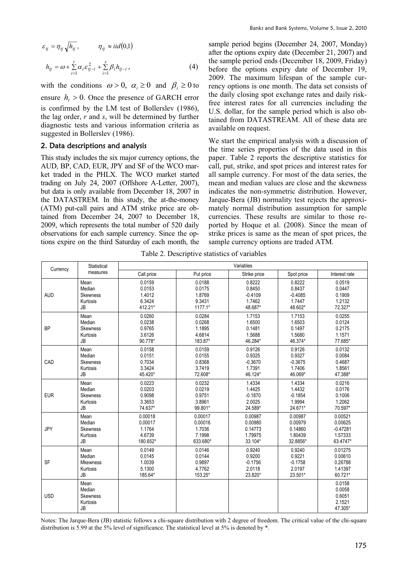$$
\varepsilon_{ij} = \eta_{ij} \sqrt{h_{ij}}, \qquad \eta_{ij} \approx i i d(0,1)
$$

$$
h_{ij} = \omega + \sum_{i=1}^{r} \alpha_i \varepsilon_{ij-i}^2 + \sum_{i=1}^{s} \beta_i h_{ij-i}, \qquad (4)
$$

with the conditions  $\omega > 0$ ,  $\alpha_i \ge 0$  and  $\beta_i \ge 0$  to ensure  $h_t > 0$ . Once the presence of GARCH error is confirmed by the LM test of Bollerslev (1986), the lag order, *r* and *s*, will be determined by further diagnostic tests and various information criteria as suggested in Bollerslev (1986).

#### 2. Data descriptions and analysis

This study includes the six major currency options, the AUD, BP, CAD, EUR, JPY and SF of the WCO market traded in the PHLX. The WCO market started trading on July 24, 2007 (Offshore A-Letter, 2007), but data is only available from December 18, 2007 in the DATASTREM. In this study, the at-the-money (ATM) put-call pairs and ATM strike price are obtained from December 24, 2007 to December 18, 2009, which represents the total number of 520 daily observations for each sample currency. Since the options expire on the third Saturday of each month, the sample period begins (December 24, 2007, Monday) after the options expiry date (December 21, 2007) and the sample period ends (December 18, 2009, Friday) before the options expiry date of December 19, 2009. The maximum lifespan of the sample currency options is one month. The data set consists of the daily closing spot exchange rates and daily riskfree interest rates for all currencies including the U.S. dollar, for the sample period which is also obtained from DATASTREAM. All of these data are available on request.

We start the empirical analysis with a discussion of the time series properties of the data used in this paper. Table 2 reports the descriptive statistics for call, put, strike, and spot prices and interest rates for all sample currency. For most of the data series, the mean and median values are close and the skewness indicates the non-symmetric distribution. However, Jarque-Bera (JB) normality test rejects the approximately normal distribution assumption for sample currencies. These results are similar to those reported by Hoque et al. (2008). Since the mean of strike prices is same as the mean of spot prices, the sample currency options are traded ATM.

Table 2. Descriptive statistics of variables

| Currency   | Statistical                                         | Variables  |           |              |            |                                                 |
|------------|-----------------------------------------------------|------------|-----------|--------------|------------|-------------------------------------------------|
|            | measures                                            | Call price | Put price | Strike price | Spot price | Interest rate                                   |
| <b>AUD</b> | Mean                                                | 0.0159     | 0.0188    | 0.8222       | 0.8222     | 0.0519                                          |
|            | Median                                              | 0.0153     | 0.0175    | 0.8450       | 0.8437     | 0.0447                                          |
|            | Skewness                                            | 1.4012     | 1.8769    | $-0.4109$    | $-0.4085$  | 0.1909                                          |
|            | Kurtosis                                            | 6.3424     | 9.3431    | 1.7462       | 1.7447     | 1.2132                                          |
|            | <b>JB</b>                                           | 412.21*    | 1177.1*   | 48.687*      | 48.602*    | 72.327*                                         |
| <b>BP</b>  | Mean                                                | 0.0260     | 0.0284    | 1.7153       | 1.7153     | 0.0255                                          |
|            | Median                                              | 0.0238     | 0.0268    | 1.6500       | 1.6503     | 0.0124                                          |
|            | Skewness                                            | 0.9765     | 1.1895    | 0.1481       | 0.1497     | 0.2175                                          |
|            | Kurtosis                                            | 3.6126     | 4.6814    | 1.5688       | 1.5680     | 1.1571                                          |
|            | <b>JB</b>                                           | 90.778*    | 183.87*   | 46.284*      | 46.374*    | 77.685*                                         |
| CAD        | Mean                                                | 0.0158     | 0.0159    | 0.9126       | 0.9126     | 0.0132                                          |
|            | Median                                              | 0.0151     | 0.0155    | 0.9325       | 0.9327     | 0.0084                                          |
|            | Skewness                                            | 0.7034     | 0.8368    | $-0.3670$    | $-0.3675$  | 0.4687                                          |
|            | Kurtosis                                            | 3.3424     | 3.7419    | 1.7391       | 1.7406     | 1.8561                                          |
|            | <b>JB</b>                                           | 45.420*    | 72.608*   | 46.124*      | 46.069*    | 47.388*                                         |
| <b>EUR</b> | Mean                                                | 0.0223     | 0.0232    | 1.4334       | 1.4334     | 0.0216                                          |
|            | Median                                              | 0.0203     | 0.0219    | 1.4425       | 1.4432     | 0.0176                                          |
|            | Skewness                                            | 0.9098     | 0.9751    | $-0.1870$    | $-0.1854$  | 0.1006                                          |
|            | Kurtosis                                            | 3.3653     | 3.8961    | 2.0025       | 1.9994     | 1.2062                                          |
|            | JB                                                  | 74.637*    | 99.801*   | 24.589*      | 24.671*    | 70.597*                                         |
| <b>JPY</b> | Mean                                                | 0.00018    | 0.00017   | 0.00987      | 0.00987    | 0.00521                                         |
|            | Median                                              | 0.00017    | 0.00016   | 0.00980      | 0.00979    | 0.00625                                         |
|            | Skewness                                            | 1.1764     | 1.7036    | 0.14773      | 0.14860    | $-0.47281$                                      |
|            | Kurtosis                                            | 4.6739     | 7.1998    | 1.79975      | 1.80439    | 1.57333                                         |
|            | <b>JB</b>                                           | 180.652*   | 633.680*  | 33.104*      | 32.8856*   | 63.4747*                                        |
| <b>SF</b>  | Mean                                                | 0.0149     | 0.0146    | 0.9240       | 0.9240     | 0.01275                                         |
|            | Median                                              | 0.0145     | 0.0144    | 0.9200       | 0.9221     | 0.00610                                         |
|            | <b>Mkewness</b>                                     | 1.0039     | 0.9897    | $-0.1756$    | $-0.1758$  | 0.26788                                         |
|            | Kurtosis                                            | 5.1300     | 4.7762    | 2.0118       | 2.0197     | 1.41397                                         |
|            | <b>JB</b>                                           | 185.64*    | 153.25*   | 23.820*      | 23.501*    | 60.721*                                         |
| <b>USD</b> | Mean<br>Median<br><b>Skewness</b><br>Kurtosis<br>JB |            |           |              |            | 0.0158<br>0.0058<br>0.6051<br>2.1521<br>47.305* |

Notes: The Jarque-Bera (JB) statistic follows a chi-square distribution with 2 degree of freedom. The critical value of the chi-square distribution is 5.99 at the 5% level of significance. The statistical level at 5% is denoted by \*.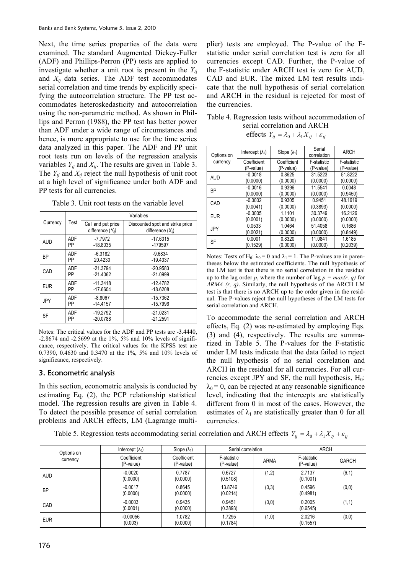Next, the time series properties of the data were examined. The standard Augmented Dickey-Fuller (ADF) and Phillips-Perron (PP) tests are applied to investigate whether a unit root is present in the  $Y_{ti}$ and  $X_{ti}$  data series. The ADF test accommodates serial correlation and time trends by explicitly specifying the autocorrelation structure. The PP test accommodates heteroskedasticity and autocorrelation using the non-parametric method. As shown in Phillips and Perron (1988), the PP test has better power than ADF under a wide range of circumstances and hence, is more appropriate to use for the time series data analyzed in this paper. The ADF and PP unit root tests run on levels of the regression analysis variables  $Y_{tj}$  and  $X_{tj}$ . The results are given in Table 3. The  $Y_{tj}$  and  $X_{tj}$  reject the null hypothesis of unit root at a high level of significance under both ADF and PP tests for all currencies.

Table 3. Unit root tests on the variable level

|            |      | Variables                                   |                                                           |  |  |
|------------|------|---------------------------------------------|-----------------------------------------------------------|--|--|
| Currency   | Test | Call and put price<br>difference $(Y_{ti})$ | Discounted spot and strike price<br>difference $(X_{ti})$ |  |  |
| <b>AUD</b> | ADF  | $-7.7972$                                   | $-17.6315$                                                |  |  |
|            | PP   | $-18.8035$                                  | -179597                                                   |  |  |
| <b>BP</b>  | ADF  | $-6.3182$                                   | $-9.6834$                                                 |  |  |
|            | PP   | 20.4230                                     | $-19.4337$                                                |  |  |
| CAD        | ADF  | $-21.3794$                                  | $-20.9583$                                                |  |  |
|            | PP   | $-21.4062$                                  | $-21.0999$                                                |  |  |
| <b>EUR</b> | ADF  | $-11.3418$                                  | $-12.4782$                                                |  |  |
|            | PP   | $-17.6604$                                  | $-18.6208$                                                |  |  |
| <b>JPY</b> | ADF  | $-8.8067$                                   | $-15.7362$                                                |  |  |
|            | PP   | $-14.4157$                                  | $-15.7996$                                                |  |  |
| <b>SF</b>  | ADF  | $-19.2792$                                  | $-21.0231$                                                |  |  |
|            | PP   | $-20.0788$                                  | $-21.2591$                                                |  |  |

Notes: The critical values for the ADF and PP tests are -3.4440, -2.8674 and -2.5699 at the 1%, 5% and 10% levels of significance, respectively. The critical values for the KPSS test are 0.7390, 0.4630 and 0.3470 at the 1%, 5% and 10% levels of significance, respectively.

# 3. Econometric analysis

In this section, econometric analysis is conducted by estimating Eq. (2), the PCP relationship statistical model. The regression results are given in Table 4. To detect the possible presence of serial correlation problems and ARCH effects, LM (Lagrange multi-

plier) tests are employed. The P-value of the Fstatistic under serial correlation test is zero for all currencies except CAD. Further, the P-value of the F-statistic under ARCH test is zero for AUD, CAD and EUR. The mixed LM test results indicate that the null hypothesis of serial correlation and ARCH in the residual is rejected for most of the currencies.

Table 4. Regression tests without accommodation of serial correlation and ARCH effects  $Y_{ti} = \lambda_0 + \lambda_1 X_{ti} + \varepsilon_{ti}$ 

| Options on | Intercept $(\lambda_0)$ | Slope $(\lambda_1)$ | Serial<br>correlation | <b>ARCH</b> |  |
|------------|-------------------------|---------------------|-----------------------|-------------|--|
| currency   | Coefficient             | Coefficient         | F-statistic           | F-statistic |  |
|            | (P-value)               | (P-value)           | (P-value)             | (P-value)   |  |
| <b>AUD</b> | $-0.0018$               | 0.8625              | 31.5223               | 51.8222     |  |
|            | (0.0000)                | (0.0000)            | (0.0000)              | (0.0000)    |  |
| <b>BP</b>  | $-0.0016$               | 0.9396              | 11.5541               | 0.0048      |  |
|            | (0.0000)                | (0.0000)            | (0.0000)              | (0.9450)    |  |
| CAD        | $-0.0002$               | 0.9305              | 0.9451                | 48.1619     |  |
|            | (0.0041)                | (0.0000)            | (0.3893)              | (0.0000)    |  |
| <b>EUR</b> | $-0.0005$               | 1.1101              | 30.3749               | 16.2126     |  |
|            | (0.0001)                | (0.0000)            | (0.0000)              | (0.0000)    |  |
| JPY        | 0.0533                  | 1.0464              | 51.4058               | 0.1686      |  |
|            | (0.0021)                | (0.0000)            | (0.0000)              | (0.8449)    |  |
| <b>SF</b>  | 0.0001                  | 0.8320              | 11.0841               | 1.6185      |  |
|            | (0.1529)                | (0.0000)            | (0.0000)              | (0.2039)    |  |

Notes: Tests of H<sub>0</sub>:  $\lambda_0 = 0$  and  $\lambda_1 = 1$ . The P-values are in parentheses below the estimated coefficients. The null hypothesis of the LM test is that there is no serial correlation in the residual up to the lag order *p*, where the number of lag  $p = max(r, q)$  for *ARMA (r, q)*. Similarly, the null hypothesis of the ARCH LM test is that there is no ARCH up to the order given in the residual. The P-values reject the null hypotheses of the LM tests for serial correlation and ARCH.

To accommodate the serial correlation and ARCH effects, Eq. (2) was re-estimated by employing Eqs. (3) and (4), respectively. The results are summarized in Table 5. The P-values for the F-statistic under LM tests indicate that the data failed to reject the null hypothesis of no serial correlation and ARCH in the residual for all currencies. For all currencies except JPY and SF, the null hypothesis,  $H_0$ :  $\lambda_0 = 0$ , can be rejected at any reasonable significance level, indicating that the intercepts are statistically different from 0 in most of the cases. However, the estimates of  $\lambda_1$  are statistically greater than 0 for all currencies.

Table 5. Regression tests accommodating serial correlation and ARCH effects  $Y_{ti} = \lambda_0 + \lambda_1 X_{ti} + \varepsilon_{ti}$ 

| Options on<br>currency | Intercept $(\lambda_0)$  | Slope $(\lambda_1)$      | Serial correlation       |             | <b>ARCH</b>              |              |
|------------------------|--------------------------|--------------------------|--------------------------|-------------|--------------------------|--------------|
|                        | Coefficient<br>(P-value) | Coefficient<br>(P-value) | F-statistic<br>(P-value) | <b>ARMA</b> | F-statistic<br>(P-value) | <b>GARCH</b> |
| <b>AUD</b>             | $-0.0020$<br>(0.0000)    | 0.7787<br>(0.0000)       | 0.6727<br>(0.5108)       | (1,2)       | 2.7137<br>(0.1001)       | (6, 1)       |
| <b>BP</b>              | $-0.0017$<br>(0.0000)    | 0.8645<br>(0.0000)       | 13.8746<br>(0.0214)      | (0,3)       | 0.4596<br>(0.4981)       | (0,0)        |
| CAD                    | $-0.0003$<br>(0.0001)    | 0.9435<br>(0.0000)       | 0.9451<br>(0.3893)       | (0, 0)      | 0.2005<br>(0.6545)       | (1,1)        |
| <b>EUR</b>             | $-0.00056$<br>(0.003)    | 1.0782<br>(0.0000)       | 1.7295<br>(0.1784)       | (1,0)       | 2.0216<br>(0.1557)       | (0, 0)       |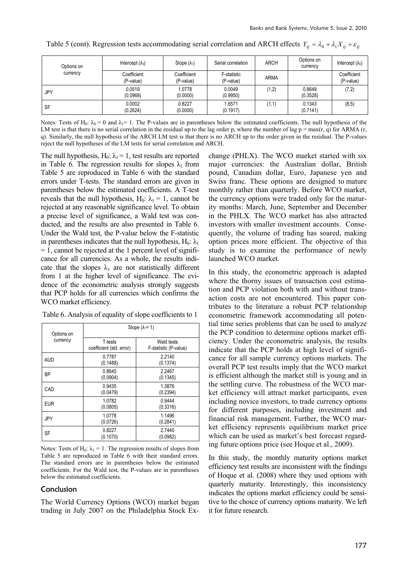| Options on | Intercept $(\lambda_0)$  | Slope $(\lambda_1)$      | Serial correlation       | <b>ARCH</b> | Options on<br>currency | Intercept $(\lambda_0)$  |
|------------|--------------------------|--------------------------|--------------------------|-------------|------------------------|--------------------------|
| currency   | Coefficient<br>(P-value) | Coefficient<br>(P-value) | F-statistic<br>(P-value) | <b>ARMA</b> |                        | Coefficient<br>(P-value) |
| JPY        | 0.0519<br>(0.0969)       | 1.0778<br>(0.0000)       | 0.0049<br>(0.9950)       | (1,2)       | 0.8649<br>(0.3528)     | (7,2)                    |
| SF         | 0.0002<br>(0.2624)       | 0.8227<br>(0.0000)       | 1.6571<br>(0.1917)       | (1,1)       | 0.1343<br>(0.7141)     | (8, 5)                   |

Table 5 (cont). Regression tests accommodating serial correlation and ARCH effects  $Y_{tj} = \lambda_0 + \lambda_1 X_{tj} + \varepsilon_{tj}$ 

Notes: Tests of H<sub>0</sub>:  $\lambda_0 = 0$  and  $\lambda_1 = 1$ . The P-values are in parentheses below the estimated coefficients. The null hypothesis of the LM test is that there is no serial correlation in the residual up to the lag order p, where the number of lag  $p = max(r, q)$  for ARMA (r, q). Similarly, the null hypothesis of the ARCH LM test is that there is no ARCH up to the order given in the residual. The P-values reject the null hypotheses of the LM tests for serial correlation and ARCH.

The null hypothesis,  $H_0$ :  $\lambda_1 = 1$ , test results are reported in Table 6. The regression results for slopes  $\lambda_1$  from Table 5 are reproduced in Table 6 with the standard errors under T-tests. The standard errors are given in parentheses below the estimated coefficients. A T-test reveals that the null hypothesis,  $H_0$ :  $\lambda_1 = 1$ , cannot be rejected at any reasonable significance level. To obtain a precise level of significance, a Wald test was conducted, and the results are also presented in Table 6. Under the Wald test, the P-value below the F-statistic in parentheses indicates that the null hypothesis,  $H_0$ :  $\lambda_1$  $= 1$ , cannot be rejected at the 1 percent level of significance for all currencies. As a whole, the results indicate that the slopes  $\lambda_1$  are not statistically different from 1 at the higher level of significance. The evidence of the econometric analysis strongly suggests that PCP holds for all currencies which confirms the WCO market efficiency.

| Options on | Slope $(\lambda_1 = 1)$             |                                     |  |  |
|------------|-------------------------------------|-------------------------------------|--|--|
| currency   | T-tests<br>coefficient (std. error) | Wald tests<br>F-statistic (P-value) |  |  |
| <b>AUD</b> | 0.7787<br>(0.1488)                  | 2.2140<br>(0.1374)                  |  |  |
| <b>BP</b>  | 0.8645<br>(0.0904)                  | 2.2467<br>(0.1345)                  |  |  |
| CAD        | 0.9435<br>(0.0479)                  | 1.3876<br>(0.2394)                  |  |  |
| <b>EUR</b> | 1.0782<br>(0.0805)                  | 0.9444<br>(0.3316)                  |  |  |
| JPY        | 1.0778<br>(0.0726)                  | 1.1496<br>(0.2841)                  |  |  |
| SF         | 0.8227<br>(0.1070)                  | 2.7440<br>(0.0982)                  |  |  |

Table 6. Analysis of equality of slope coefficients to 1

Notes: Tests of H<sub>0</sub>:  $\lambda_1 = 1$ . The regression results of slopes from Table 5 are reproduced in Table 6 with their standard errors. The standard errors are in parentheses below the estimated coefficients. For the Wald test, the P-values are in parentheses below the estimated coefficients.

#### Conclusion

The World Currency Options (WCO) market began trading in July 2007 on the Philadelphia Stock Exchange (PHLX). The WCO market started with six major currencies: the Australian dollar, British pound, Canadian dollar, Euro, Japanese yen and Swiss franc. These options are designed to mature monthly rather than quarterly. Before WCO market, the currency options were traded only for the maturity months: March, June, September and December in the PHLX. The WCO market has also attracted investors with smaller investment accounts. Consequently, the volume of trading has soared, making option prices more efficient. The objective of this study is to examine the performance of newly launched WCO market.

In this study, the econometric approach is adapted where the thorny issues of transaction cost estimation and PCP violation both with and without transaction costs are not encountered. This paper contributes to the literature a robust PCP relationship econometric framework accommodating all potential time series problems that can be used to analyze the PCP condition to determine options market efficiency. Under the econometric analysis, the results indicate that the PCP holds at high level of significance for all sample currency options markets. The overall PCP test results imply that the WCO market is efficient although the market still is young and in the settling curve. The robustness of the WCO market efficiency will attract market participants, even including novice investors, to trade currency options for different purposes, including investment and financial risk management. Further, the WCO market efficiency represents equilibrium market price which can be used as market's best forecast regarding future options price (see Hoque et al., 2009).

In this study, the monthly maturity options market efficiency test results are inconsistent with the findings of Hoque et al. (2008) where they used options with quarterly maturity. Interestingly, this inconsistency indicates the options market efficiency could be sensitive to the choice of currency options maturity. We left it for future research.